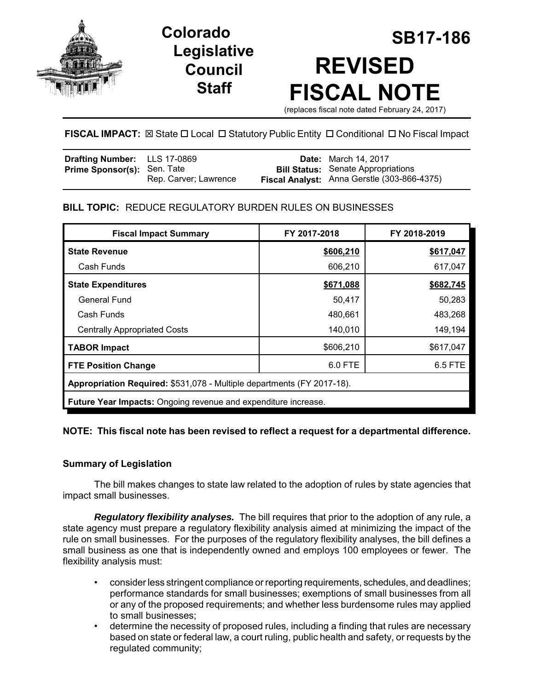

# **Legislative Council Staff**

# **SB17-186 Colorado REVISED FISCAL NOTE**

(replaces fiscal note dated February 24, 2017)

# **FISCAL IMPACT:** ⊠ State  $\Box$  Local  $\Box$  Statutory Public Entity  $\Box$  Conditional  $\Box$  No Fiscal Impact

| Drafting Number: LLS 17-0869       |                       | <b>Date:</b> March 14, 2017                 |
|------------------------------------|-----------------------|---------------------------------------------|
| <b>Prime Sponsor(s): Sen. Tate</b> |                       | <b>Bill Status:</b> Senate Appropriations   |
|                                    | Rep. Carver; Lawrence | Fiscal Analyst: Anna Gerstle (303-866-4375) |

# **BILL TOPIC:** REDUCE REGULATORY BURDEN RULES ON BUSINESSES

| <b>Fiscal Impact Summary</b>                                           | FY 2017-2018 | FY 2018-2019 |  |  |  |
|------------------------------------------------------------------------|--------------|--------------|--|--|--|
| <b>State Revenue</b>                                                   | \$606,210    | \$617,047    |  |  |  |
| Cash Funds                                                             | 606,210      | 617,047      |  |  |  |
| <b>State Expenditures</b>                                              | \$671,088    | \$682,745    |  |  |  |
| General Fund                                                           | 50,417       | 50,283       |  |  |  |
| Cash Funds                                                             | 480,661      | 483,268      |  |  |  |
| <b>Centrally Appropriated Costs</b>                                    | 140,010      | 149,194      |  |  |  |
| <b>TABOR Impact</b>                                                    | \$606,210    | \$617,047    |  |  |  |
| 6.0 FTE<br>6.5 FTE<br><b>FTE Position Change</b>                       |              |              |  |  |  |
| Appropriation Required: \$531,078 - Multiple departments (FY 2017-18). |              |              |  |  |  |
| Future Year Impacts: Ongoing revenue and expenditure increase.         |              |              |  |  |  |

# **NOTE: This fiscal note has been revised to reflect a request for a departmental difference.**

# **Summary of Legislation**

The bill makes changes to state law related to the adoption of rules by state agencies that impact small businesses.

*Regulatory flexibility analyses.* The bill requires that prior to the adoption of any rule, a state agency must prepare a regulatory flexibility analysis aimed at minimizing the impact of the rule on small businesses. For the purposes of the regulatory flexibility analyses, the bill defines a small business as one that is independently owned and employs 100 employees or fewer. The flexibility analysis must:

- consider less stringent compliance or reporting requirements, schedules, and deadlines; performance standards for small businesses; exemptions of small businesses from all or any of the proposed requirements; and whether less burdensome rules may applied to small businesses;
- determine the necessity of proposed rules, including a finding that rules are necessary based on state or federal law, a court ruling, public health and safety, or requests by the regulated community;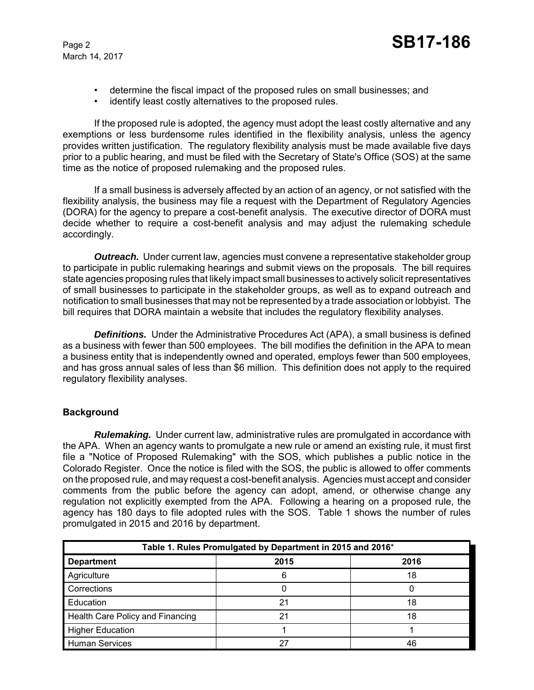- determine the fiscal impact of the proposed rules on small businesses; and
- identify least costly alternatives to the proposed rules.

If the proposed rule is adopted, the agency must adopt the least costly alternative and any exemptions or less burdensome rules identified in the flexibility analysis, unless the agency provides written justification. The regulatory flexibility analysis must be made available five days prior to a public hearing, and must be filed with the Secretary of State's Office (SOS) at the same time as the notice of proposed rulemaking and the proposed rules.

If a small business is adversely affected by an action of an agency, or not satisfied with the flexibility analysis, the business may file a request with the Department of Regulatory Agencies (DORA) for the agency to prepare a cost-benefit analysis. The executive director of DORA must decide whether to require a cost-benefit analysis and may adjust the rulemaking schedule accordingly.

*Outreach.* Under current law, agencies must convene a representative stakeholder group to participate in public rulemaking hearings and submit views on the proposals. The bill requires state agencies proposing rules that likely impact small businesses to actively solicit representatives of small businesses to participate in the stakeholder groups, as well as to expand outreach and notification to small businesses that may not be represented by a trade association or lobbyist. The bill requires that DORA maintain a website that includes the regulatory flexibility analyses.

**Definitions.** Under the Administrative Procedures Act (APA), a small business is defined as a business with fewer than 500 employees. The bill modifies the definition in the APA to mean a business entity that is independently owned and operated, employs fewer than 500 employees, and has gross annual sales of less than \$6 million. This definition does not apply to the required regulatory flexibility analyses.

# **Background**

*Rulemaking.* Under current law, administrative rules are promulgated in accordance with the APA. When an agency wants to promulgate a new rule or amend an existing rule, it must first file a "Notice of Proposed Rulemaking" with the SOS, which publishes a public notice in the Colorado Register. Once the notice is filed with the SOS, the public is allowed to offer comments on the proposed rule, and may request a cost-benefit analysis. Agencies must accept and consider comments from the public before the agency can adopt, amend, or otherwise change any regulation not explicitly exempted from the APA. Following a hearing on a proposed rule, the agency has 180 days to file adopted rules with the SOS. Table 1 shows the number of rules promulgated in 2015 and 2016 by department.

| Table 1. Rules Promulgated by Department in 2015 and 2016* |      |      |  |  |
|------------------------------------------------------------|------|------|--|--|
| <b>Department</b>                                          | 2015 | 2016 |  |  |
| Agriculture                                                | 6    | 18   |  |  |
| Corrections                                                |      |      |  |  |
| Education                                                  | 21   | 18   |  |  |
| Health Care Policy and Financing                           | 21   | 18   |  |  |
| <b>Higher Education</b>                                    |      |      |  |  |
| <b>Human Services</b>                                      | 27   | 46   |  |  |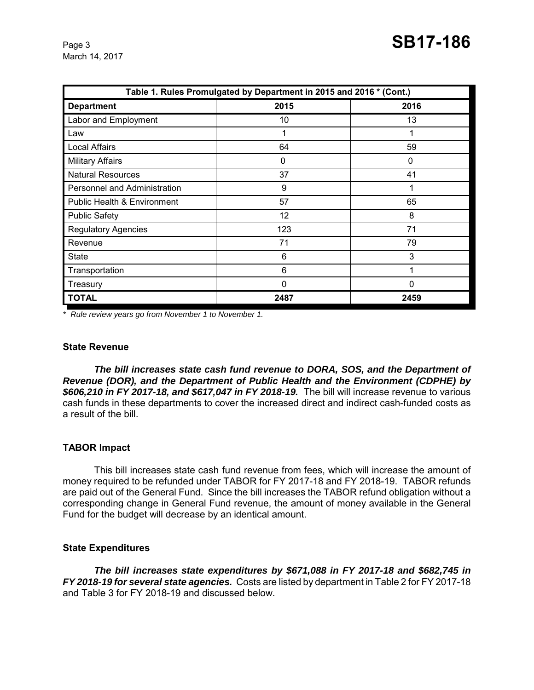| Table 1. Rules Promulgated by Department in 2015 and 2016 * (Cont.) |             |              |  |  |  |
|---------------------------------------------------------------------|-------------|--------------|--|--|--|
| <b>Department</b>                                                   | 2015        | 2016         |  |  |  |
| Labor and Employment                                                | 10          | 13           |  |  |  |
| Law                                                                 |             |              |  |  |  |
| <b>Local Affairs</b>                                                | 64          | 59           |  |  |  |
| <b>Military Affairs</b>                                             | 0           | $\mathbf{0}$ |  |  |  |
| <b>Natural Resources</b>                                            | 37          | 41           |  |  |  |
| Personnel and Administration                                        | 9           |              |  |  |  |
| <b>Public Health &amp; Environment</b>                              | 57          | 65           |  |  |  |
| <b>Public Safety</b>                                                | 12          | 8            |  |  |  |
| <b>Regulatory Agencies</b>                                          | 123         | 71           |  |  |  |
| Revenue                                                             | 71          | 79           |  |  |  |
| <b>State</b>                                                        | 6           | 3            |  |  |  |
| Transportation                                                      | 6           | и            |  |  |  |
| Treasury                                                            | $\mathbf 0$ | 0            |  |  |  |
| <b>TOTAL</b>                                                        | 2487        | 2459         |  |  |  |

*\* Rule review years go from November 1 to November 1.* 

#### **State Revenue**

*The bill increases state cash fund revenue to DORA, SOS, and the Department of Revenue (DOR), and the Department of Public Health and the Environment (CDPHE) by \$606,210 in FY 2017-18, and \$617,047 in FY 2018-19.* The bill will increase revenue to various cash funds in these departments to cover the increased direct and indirect cash-funded costs as a result of the bill.

#### **TABOR Impact**

This bill increases state cash fund revenue from fees, which will increase the amount of money required to be refunded under TABOR for FY 2017-18 and FY 2018-19. TABOR refunds are paid out of the General Fund. Since the bill increases the TABOR refund obligation without a corresponding change in General Fund revenue, the amount of money available in the General Fund for the budget will decrease by an identical amount.

#### **State Expenditures**

*The bill increases state expenditures by \$671,088 in FY 2017-18 and \$682,745 in FY 2018-19 for several state agencies.* Costs are listed by department in Table 2 for FY 2017-18 and Table 3 for FY 2018-19 and discussed below.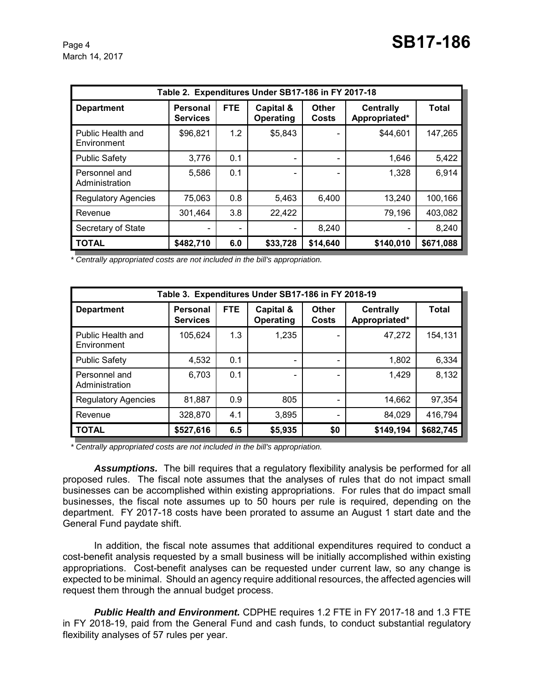| Table 2. Expenditures Under SB17-186 in FY 2017-18 |                                    |            |                          |                |                                   |           |
|----------------------------------------------------|------------------------------------|------------|--------------------------|----------------|-----------------------------------|-----------|
| <b>Department</b>                                  | <b>Personal</b><br><b>Services</b> | <b>FTE</b> | Capital &<br>Operating   | Other<br>Costs | <b>Centrally</b><br>Appropriated* | Total     |
| Public Health and<br>Environment                   | \$96,821                           | 1.2        | \$5,843                  |                | \$44,601                          | 147,265   |
| <b>Public Safety</b>                               | 3,776                              | 0.1        | $\overline{\phantom{a}}$ |                | 1,646                             | 5,422     |
| Personnel and<br>Administration                    | 5,586                              | 0.1        | $\qquad \qquad$          |                | 1,328                             | 6,914     |
| <b>Regulatory Agencies</b>                         | 75,063                             | 0.8        | 5,463                    | 6,400          | 13,240                            | 100,166   |
| Revenue                                            | 301,464                            | 3.8        | 22,422                   |                | 79,196                            | 403,082   |
| Secretary of State                                 |                                    |            | $\overline{\phantom{a}}$ | 8,240          |                                   | 8,240     |
| <b>TOTAL</b>                                       | \$482,710                          | 6.0        | \$33,728                 | \$14,640       | \$140,010                         | \$671,088 |

*\* Centrally appropriated costs are not included in the bill's appropriation.*

| Table 3. Expenditures Under SB17-186 in FY 2018-19 |                             |            |                          |                       |                                   |           |
|----------------------------------------------------|-----------------------------|------------|--------------------------|-----------------------|-----------------------------------|-----------|
| <b>Department</b>                                  | Personal<br><b>Services</b> | <b>FTE</b> | Capital &<br>Operating   | Other<br><b>Costs</b> | <b>Centrally</b><br>Appropriated* | Total     |
| Public Health and<br>Environment                   | 105,624                     | 1.3        | 1,235                    |                       | 47,272                            | 154,131   |
| <b>Public Safety</b>                               | 4,532                       | 0.1        | -                        |                       | 1,802                             | 6,334     |
| Personnel and<br>Administration                    | 6,703                       | 0.1        | $\overline{\phantom{a}}$ |                       | 1,429                             | 8,132     |
| <b>Regulatory Agencies</b>                         | 81,887                      | 0.9        | 805                      |                       | 14,662                            | 97,354    |
| Revenue                                            | 328,870                     | 4.1        | 3,895                    |                       | 84,029                            | 416,794   |
| <b>TOTAL</b>                                       | \$527,616                   | 6.5        | \$5,935                  | \$0                   | \$149,194                         | \$682,745 |

*\* Centrally appropriated costs are not included in the bill's appropriation.*

*Assumptions.* The bill requires that a regulatory flexibility analysis be performed for all proposed rules. The fiscal note assumes that the analyses of rules that do not impact small businesses can be accomplished within existing appropriations. For rules that do impact small businesses, the fiscal note assumes up to 50 hours per rule is required, depending on the department. FY 2017-18 costs have been prorated to assume an August 1 start date and the General Fund paydate shift.

In addition, the fiscal note assumes that additional expenditures required to conduct a cost-benefit analysis requested by a small business will be initially accomplished within existing appropriations. Cost-benefit analyses can be requested under current law, so any change is expected to be minimal. Should an agency require additional resources, the affected agencies will request them through the annual budget process.

*Public Health and Environment.* CDPHE requires 1.2 FTE in FY 2017-18 and 1.3 FTE in FY 2018-19, paid from the General Fund and cash funds, to conduct substantial regulatory flexibility analyses of 57 rules per year.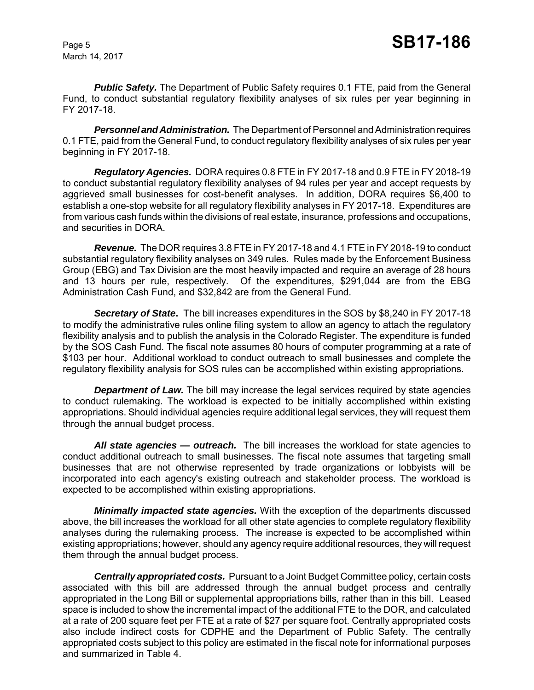**Public Safety.** The Department of Public Safety requires 0.1 FTE, paid from the General Fund, to conduct substantial regulatory flexibility analyses of six rules per year beginning in FY 2017-18.

*Personnel and Administration.* The Department of Personnel and Administration requires 0.1 FTE, paid from the General Fund, to conduct regulatory flexibility analyses of six rules per year beginning in FY 2017-18.

*Regulatory Agencies.* DORA requires 0.8 FTE in FY 2017-18 and 0.9 FTE in FY 2018-19 to conduct substantial regulatory flexibility analyses of 94 rules per year and accept requests by aggrieved small businesses for cost-benefit analyses. In addition, DORA requires \$6,400 to establish a one-stop website for all regulatory flexibility analyses in FY 2017-18.Expenditures are from various cash funds within the divisions of real estate, insurance, professions and occupations, and securities in DORA.

*Revenue.* The DOR requires 3.8 FTE in FY 2017-18 and 4.1 FTE in FY 2018-19 to conduct substantial regulatory flexibility analyses on 349 rules. Rules made by the Enforcement Business Group (EBG) and Tax Division are the most heavily impacted and require an average of 28 hours and 13 hours per rule, respectively. Of the expenditures, \$291,044 are from the EBG Administration Cash Fund, and \$32,842 are from the General Fund.

*Secretary of State***.** The bill increases expenditures in the SOS by \$8,240 in FY 2017-18 to modify the administrative rules online filing system to allow an agency to attach the regulatory flexibility analysis and to publish the analysis in the Colorado Register. The expenditure is funded by the SOS Cash Fund. The fiscal note assumes 80 hours of computer programming at a rate of \$103 per hour. Additional workload to conduct outreach to small businesses and complete the regulatory flexibility analysis for SOS rules can be accomplished within existing appropriations.

**Department of Law.** The bill may increase the legal services required by state agencies to conduct rulemaking. The workload is expected to be initially accomplished within existing appropriations. Should individual agencies require additional legal services, they will request them through the annual budget process.

*All state agencies — outreach.* The bill increases the workload for state agencies to conduct additional outreach to small businesses. The fiscal note assumes that targeting small businesses that are not otherwise represented by trade organizations or lobbyists will be incorporated into each agency's existing outreach and stakeholder process. The workload is expected to be accomplished within existing appropriations.

*Minimally impacted state agencies.* With the exception of the departments discussed above, the bill increases the workload for all other state agencies to complete regulatory flexibility analyses during the rulemaking process. The increase is expected to be accomplished within existing appropriations; however, should any agency require additional resources, they will request them through the annual budget process.

*Centrally appropriated costs.* Pursuant to a Joint Budget Committee policy, certain costs associated with this bill are addressed through the annual budget process and centrally appropriated in the Long Bill or supplemental appropriations bills, rather than in this bill. Leased space is included to show the incremental impact of the additional FTE to the DOR, and calculated at a rate of 200 square feet per FTE at a rate of \$27 per square foot. Centrally appropriated costs also include indirect costs for CDPHE and the Department of Public Safety. The centrally appropriated costs subject to this policy are estimated in the fiscal note for informational purposes and summarized in Table 4.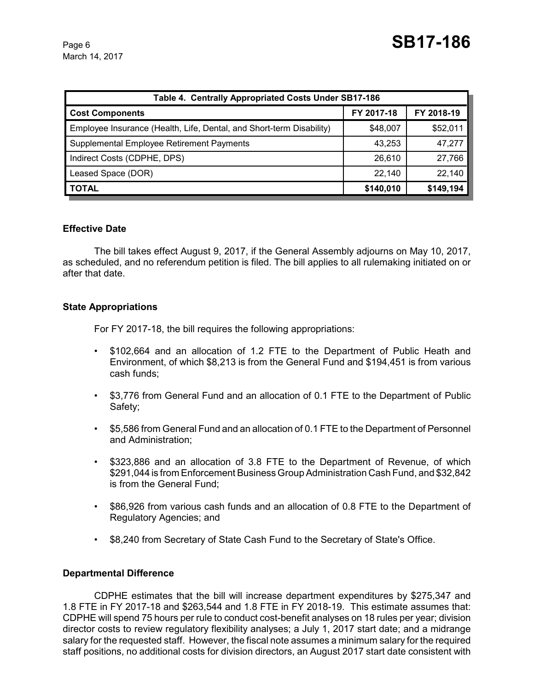| Table 4. Centrally Appropriated Costs Under SB17-186                 |            |            |  |  |  |
|----------------------------------------------------------------------|------------|------------|--|--|--|
| <b>Cost Components</b>                                               | FY 2017-18 | FY 2018-19 |  |  |  |
| Employee Insurance (Health, Life, Dental, and Short-term Disability) | \$48,007   | \$52,011   |  |  |  |
| Supplemental Employee Retirement Payments                            | 43,253     | 47,277     |  |  |  |
| Indirect Costs (CDPHE, DPS)                                          | 26,610     | 27,766     |  |  |  |
| Leased Space (DOR)                                                   | 22,140     | 22,140     |  |  |  |
| <b>TOTAL</b>                                                         | \$140,010  | \$149,194  |  |  |  |

#### **Effective Date**

The bill takes effect August 9, 2017, if the General Assembly adjourns on May 10, 2017, as scheduled, and no referendum petition is filed. The bill applies to all rulemaking initiated on or after that date.

#### **State Appropriations**

For FY 2017-18, the bill requires the following appropriations:

- \$102,664 and an allocation of 1.2 FTE to the Department of Public Heath and Environment, of which \$8,213 is from the General Fund and \$194,451 is from various cash funds;
- \$3,776 from General Fund and an allocation of 0.1 FTE to the Department of Public Safety;
- \$5,586 from General Fund and an allocation of 0.1 FTE to the Department of Personnel and Administration;
- \$323,886 and an allocation of 3.8 FTE to the Department of Revenue, of which \$291,044 is from Enforcement Business Group Administration Cash Fund, and \$32,842 is from the General Fund;
- \$86,926 from various cash funds and an allocation of 0.8 FTE to the Department of Regulatory Agencies; and
- \$8,240 from Secretary of State Cash Fund to the Secretary of State's Office.

#### **Departmental Difference**

CDPHE estimates that the bill will increase department expenditures by \$275,347 and 1.8 FTE in FY 2017-18 and \$263,544 and 1.8 FTE in FY 2018-19. This estimate assumes that: CDPHE will spend 75 hours per rule to conduct cost-benefit analyses on 18 rules per year; division director costs to review regulatory flexibility analyses; a July 1, 2017 start date; and a midrange salary for the requested staff. However, the fiscal note assumes a minimum salary for the required staff positions, no additional costs for division directors, an August 2017 start date consistent with